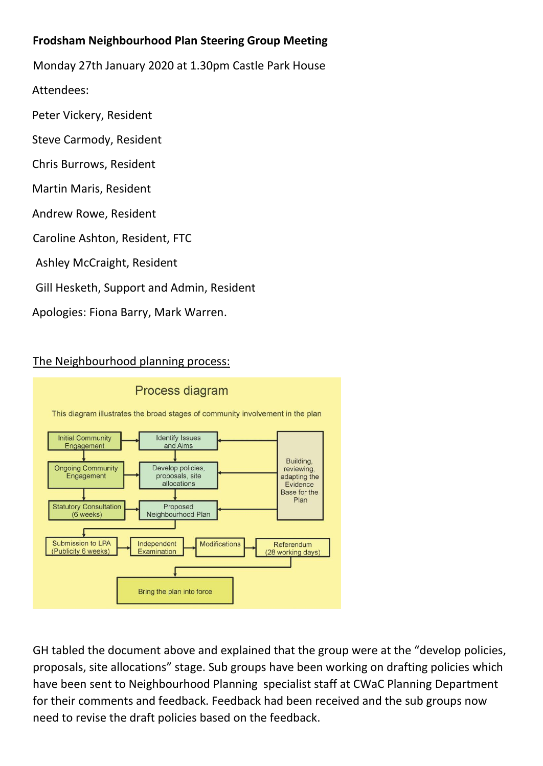## **Frodsham Neighbourhood Plan Steering Group Meeting**

Monday 27th January 2020 at 1.30pm Castle Park House

Attendees:

Peter Vickery, Resident

- Steve Carmody, Resident
- Chris Burrows, Resident
- Martin Maris, Resident
- Andrew Rowe, Resident
- Caroline Ashton, Resident, FTC
- Ashley McCraight, Resident
- Gill Hesketh, Support and Admin, Resident

Apologies: Fiona Barry, Mark Warren.

## The Neighbourhood planning process:



GH tabled the document above and explained that the group were at the "develop policies, proposals, site allocations" stage. Sub groups have been working on drafting policies which have been sent to Neighbourhood Planning specialist staff at CWaC Planning Department for their comments and feedback. Feedback had been received and the sub groups now need to revise the draft policies based on the feedback.